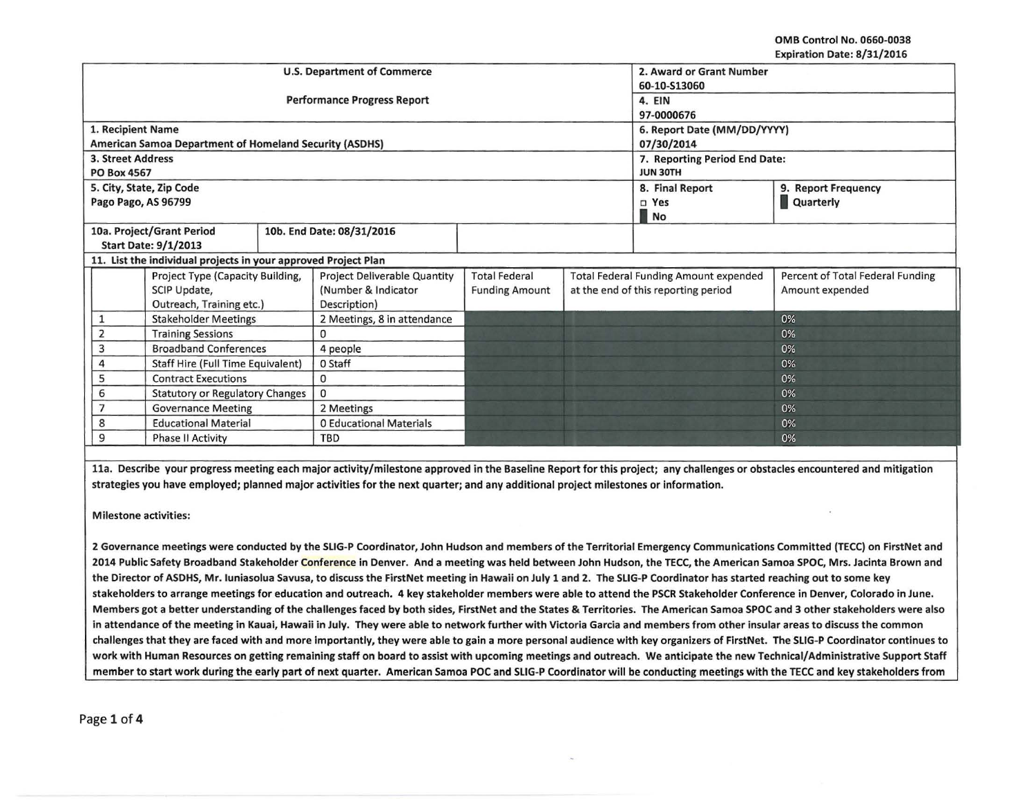OMB Control No. 0660-0038 Expiration Date: 8/31/2016

|                                                             |                                                                | <b>U.S. Department of Commerce</b>  | 2. Award or Grant Number      |                                              |  |                                  |                     |
|-------------------------------------------------------------|----------------------------------------------------------------|-------------------------------------|-------------------------------|----------------------------------------------|--|----------------------------------|---------------------|
|                                                             |                                                                |                                     | 60-10-S13060                  |                                              |  |                                  |                     |
|                                                             |                                                                | <b>Performance Progress Report</b>  | 4. EIN                        |                                              |  |                                  |                     |
|                                                             |                                                                |                                     | 97-0000676                    |                                              |  |                                  |                     |
| 1. Recipient Name                                           |                                                                |                                     | 6. Report Date (MM/DD/YYYY)   |                                              |  |                                  |                     |
|                                                             | American Samoa Department of Homeland Security (ASDHS)         |                                     | 07/30/2014                    |                                              |  |                                  |                     |
| 3. Street Address                                           |                                                                |                                     | 7. Reporting Period End Date: |                                              |  |                                  |                     |
| <b>PO Box 4567</b>                                          |                                                                |                                     | <b>JUN 30TH</b>               |                                              |  |                                  |                     |
| 5. City, State, Zip Code                                    |                                                                |                                     |                               |                                              |  | 8. Final Report                  | 9. Report Frequency |
| Pago Pago, AS 96799                                         |                                                                |                                     |                               |                                              |  | $\square$ Yes                    | Quarterly           |
|                                                             |                                                                |                                     |                               |                                              |  | <b>No</b>                        |                     |
|                                                             | 10a. Project/Grant Period                                      |                                     | 10b. End Date: 08/31/2016     |                                              |  |                                  |                     |
| <b>Start Date: 9/1/2013</b>                                 |                                                                |                                     |                               |                                              |  |                                  |                     |
|                                                             | 11. List the individual projects in your approved Project Plan |                                     |                               |                                              |  |                                  |                     |
| Project Type (Capacity Building,                            |                                                                | <b>Project Deliverable Quantity</b> | <b>Total Federal</b>          | <b>Total Federal Funding Amount expended</b> |  | Percent of Total Federal Funding |                     |
| SCIP Update,                                                |                                                                | (Number & Indicator                 | <b>Funding Amount</b>         | at the end of this reporting period          |  | Amount expended                  |                     |
| Outreach, Training etc.)                                    |                                                                | Description)                        |                               |                                              |  |                                  |                     |
| <b>Stakeholder Meetings</b>                                 |                                                                |                                     | 2 Meetings, 8 in attendance   |                                              |  |                                  | 0%                  |
| <b>Training Sessions</b>                                    |                                                                |                                     | 0                             |                                              |  |                                  | 0%                  |
| <b>Broadband Conferences</b><br>3                           |                                                                |                                     | 4 people                      |                                              |  |                                  | 0%                  |
| Staff Hire (Full Time Equivalent)<br>0 Staff                |                                                                |                                     |                               |                                              |  |                                  | 0%                  |
| <b>Contract Executions</b><br>5<br>$\mathbf{0}$             |                                                                |                                     |                               |                                              |  |                                  | 0%                  |
| $\mathbf{0}$<br><b>Statutory or Regulatory Changes</b><br>6 |                                                                |                                     |                               |                                              |  |                                  | 0%                  |
| <b>Governance Meeting</b><br>2 Meetings                     |                                                                |                                     |                               |                                              |  | 0%                               |                     |
| 8                                                           | <b>Educational Material</b>                                    |                                     | 0 Educational Materials       |                                              |  |                                  | 0%                  |
| 9                                                           | <b>Phase II Activity</b>                                       |                                     | <b>TBD</b>                    |                                              |  |                                  | 0%                  |

lla. Describe your progress meeting each major activity/milestone approved in the Baseline Report for this project; any challenges or obstacles encountered and mitigation strategies you have employed; planned major activities for the next quarter; and any additional project milestones or information.

Milestone activities:

2 Governance meetings were conducted by the SLIG-P Coordinator, John Hudson and members of the Territorial Emergency Communications Committed (TECC) on FirstNet and 2014 Public Safety Broadband Stakeholder Conference in Denver. And a meeting was held between John Hudson, the TECC, the American Samoa SPOC, Mrs. Jacinta Brown and the Director of ASDHS, Mr. luniasolua Savusa, to discuss the FirstNet meeting in Hawaii on July 1 and 2. The SUG-P Coordinator has started reaching out to some key stakeholders to arrange meetings for education and outreach. 4 key stakeholder members were able to attend the PSCR Stakeholder Conference in Denver, Colorado in June. Members got a better understanding of the challenges faced by both sides, FirstNet and the States & Territories. The American Samoa SPOC and 3 other stakeholders were also in attendance of the meeting in Kauai, Hawaii in July. They were able to network further with Victoria Garcia and members from other insular areas to discuss the common challenges that they are faced with and more importantly, they were able to gain a more personal audience with key organizers of FirstNet. The SLIG-P Coordinator continues to work with Human Resources on getting remaining staff on board to assist with upcoming meetings and outreach. We anticipate the new Technical/ Administrative Support Staff member to start work during the early part of next quarter. American Samoa POC and SLIG-P Coordinator will be conducting meetings with the TECC and key stakeholders from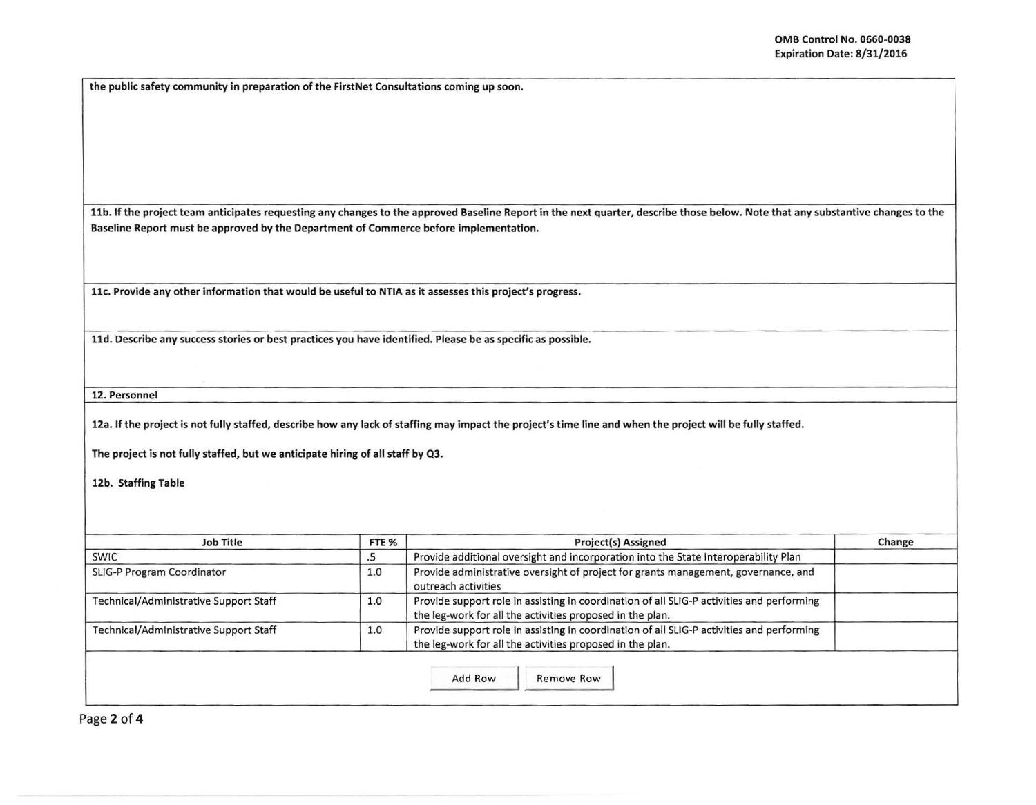I I

the public safety community in preparation of the FirstNet Consultations coming up soon.

11b. If the project team anticipates requesting any changes to the approved Baseline Report in the next quarter, describe those below. Note that any substantive changes to the Baseline Report must be approved by the Department of Commerce before implementation.

11c. Provide any other information that would be useful to NTIA as it assesses this project's progress.

lld. Describe any success stories or best practices you have identified. Please be as specific as possible.

12. Personnel

12a. If the project is not fully staffed, describe how any lack of staffing may impact the project's time line and when the project will be fully staffed.

The project is not fully staffed, but we anticipate hiring of all staff by Q3.

12b. Staffing Table

| <b>Job Title</b>                              | FTE % | <b>Project(s) Assigned</b>                                                                                                                             | Change |  |  |
|-----------------------------------------------|-------|--------------------------------------------------------------------------------------------------------------------------------------------------------|--------|--|--|
| <b>SWIC</b>                                   | د.    | Provide additional oversight and incorporation into the State Interoperability Plan                                                                    |        |  |  |
| SLIG-P Program Coordinator                    | 1.0   | Provide administrative oversight of project for grants management, governance, and<br>outreach activities                                              |        |  |  |
| Technical/Administrative Support Staff        | 1.0   | Provide support role in assisting in coordination of all SLIG-P activities and performing<br>the leg-work for all the activities proposed in the plan. |        |  |  |
| <b>Technical/Administrative Support Staff</b> | 1.0   | Provide support role in assisting in coordination of all SLIG-P activities and performing<br>the leg-work for all the activities proposed in the plan. |        |  |  |

Page 2 of 4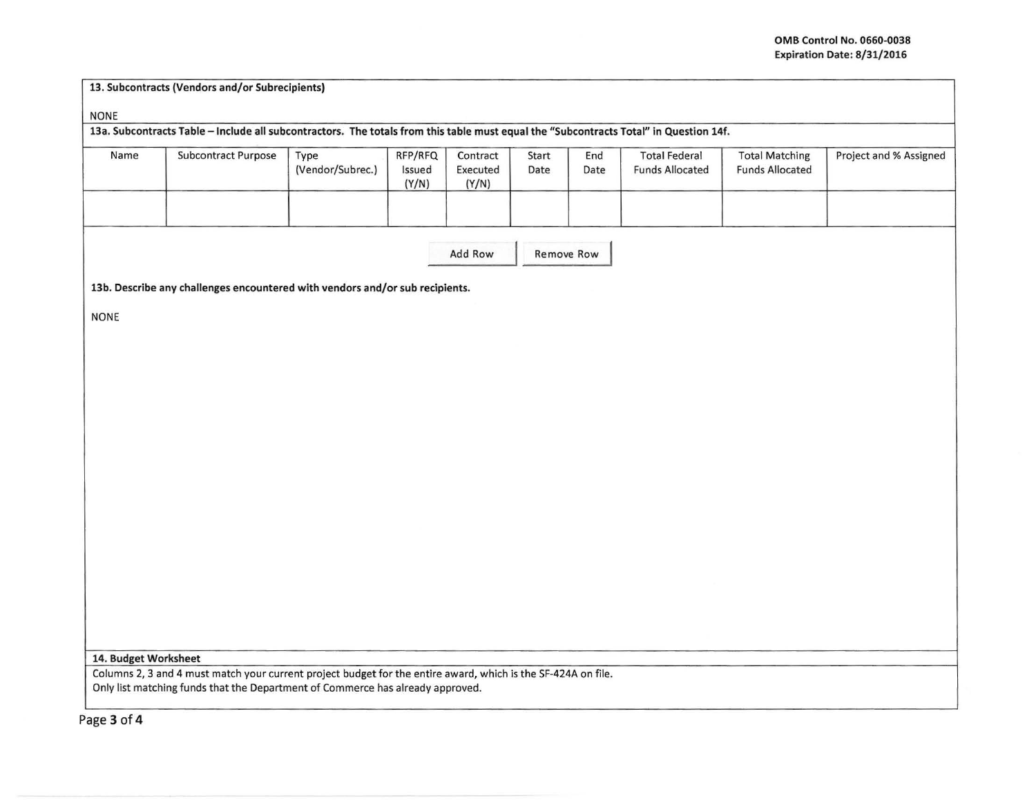|  | 13. Subcontracts (Vendors and/or Subrecipients) |
|--|-------------------------------------------------|
|--|-------------------------------------------------|

NONE

13a. Subcontracts Table -Include all subcontractors. The totals from this table must equal the "Subcontracts Total" in Question 14f.

| Name | <b>Subcontract Purpose</b> | Type<br>(Vendor/Subrec.) | RFP/RFQ<br>Issued<br>(Y/N) | Contract<br>Executed<br>(Y/N) | Start<br>Date | End<br>Date | <b>Total Federal</b><br><b>Funds Allocated</b> | <b>Total Matching</b><br><b>Funds Allocated</b> | Project and % Assigned |
|------|----------------------------|--------------------------|----------------------------|-------------------------------|---------------|-------------|------------------------------------------------|-------------------------------------------------|------------------------|
|      |                            |                          |                            |                               |               |             |                                                |                                                 |                        |

| Add Row | <b>Remove Row</b> |
|---------|-------------------|
|---------|-------------------|

13b. Describe any challenges encountered with vendors and/or sub recipients.

NONE

## 14. Budget Worksheet

Columns 2, 3 and 4 must match your current project budget for the entire award, which is the SF-424A on file. Only list matching funds that the Department of Commerce has already approved.

Page 3 of 4